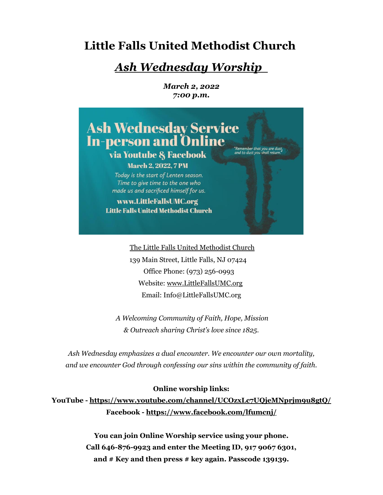# **Little Falls United Methodist Church**

# *Ash Wednesday Worship*

*March 2, 2022 7:00 p.m.*



The Little Falls United Methodist Church 139 Main Street, Little Falls, NJ 07424 Office Phone: (973) 256-0993 Website: [www.LittleFallsUMC.org](http://www.littlefallsumc.org/) Email: Info@LittleFallsUMC.org

*A Welcoming Community of Faith, Hope, Mission & Outreach sharing Christ's love since 1825.*

*Ash Wednesday emphasizes a dual encounter. We encounter our own mortality, and we encounter God through confessing our sins within the community of faith.*

## **Online worship links:**

**YouTube - https://www.youtube.com/channel/UCOzxLc7UQjeMNprjm9u8gtQ/ Facebook - https://www.facebook.com/lfumcnj/**

> **You can join Online Worship service using your phone. Call 646-876-9923 and enter the Meeting ID, 917 9067 6301, and # Key and then press # key again. Passcode 139139.**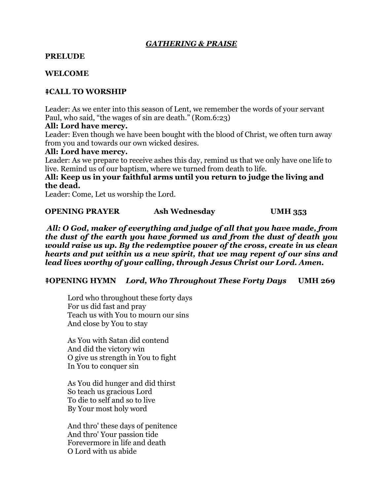# *GATHERING & PRAISE*

# **PRELUDE**

# **WELCOME**

# ⭻**CALL TO WORSHIP**

Leader: As we enter into this season of Lent, we remember the words of your servant Paul, who said, "the wages of sin are death." (Rom.6:23)

#### **All: Lord have mercy.**

Leader: Even though we have been bought with the blood of Christ, we often turn away from you and towards our own wicked desires.

#### **All: Lord have mercy.**

Leader: As we prepare to receive ashes this day, remind us that we only have one life to live. Remind us of our baptism, where we turned from death to life.

**All: Keep us in your faithful arms until you return to judge the living and the dead.**

Leader: Come, Let us worship the Lord.

## **OPENING PRAYER** Ash Wednesday UMH 353

*All: O God, maker of everything and judge of all that you have made, from the dust of the earth you have formed us and from the dust of death you would raise us up. By the redemptive power of the cross, create in us clean hearts and put within us a new spirit, that we may repent of our sins and lead lives worthy of your calling, through Jesus Christ our Lord. Amen.*

## ⭻**OPENING HYMN** *Lord, Who Throughout These Forty Days* **UMH 269**

Lord who throughout these forty days For us did fast and pray Teach us with You to mourn our sins And close by You to stay

As You with Satan did contend And did the victory win O give us strength in You to fight In You to conquer sin

As You did hunger and did thirst So teach us gracious Lord To die to self and so to live By Your most holy word

And thro' these days of penitence And thro' Your passion tide Forevermore in life and death O Lord with us abide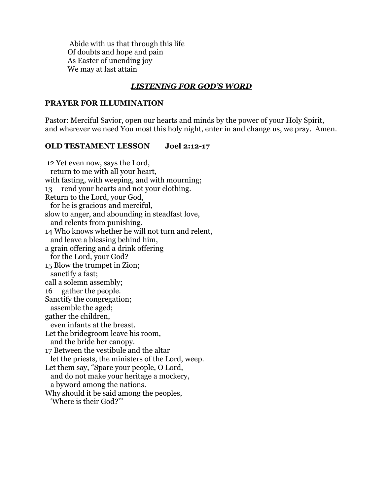Abide with us that through this life Of doubts and hope and pain As Easter of unending joy We may at last attain

# *LISTENING FOR GOD'S WORD*

#### **PRAYER FOR ILLUMINATION**

Pastor: Merciful Savior, open our hearts and minds by the power of your Holy Spirit, and wherever we need You most this holy night, enter in and change us, we pray. Amen.

#### **OLD TESTAMENT LESSON Joel 2:12-17**

12 Yet even now, says the Lord, return to me with all your heart, with fasting, with weeping, and with mourning; 13 rend your hearts and not your clothing. Return to the Lord, your God, for he is gracious and merciful, slow to anger, and abounding in steadfast love, and relents from punishing. 14 Who knows whether he will not turn and relent, and leave a blessing behind him, a grain offering and a drink offering for the Lord, your God? 15 Blow the trumpet in Zion; sanctify a fast; call a solemn assembly; 16 gather the people. Sanctify the congregation; assemble the aged; gather the children, even infants at the breast. Let the bridegroom leave his room, and the bride her canopy. 17 Between the vestibule and the altar let the priests, the ministers of the Lord, weep. Let them say, "Spare your people, O Lord, and do not make your heritage a mockery, a byword among the nations. Why should it be said among the peoples, 'Where is their God?'"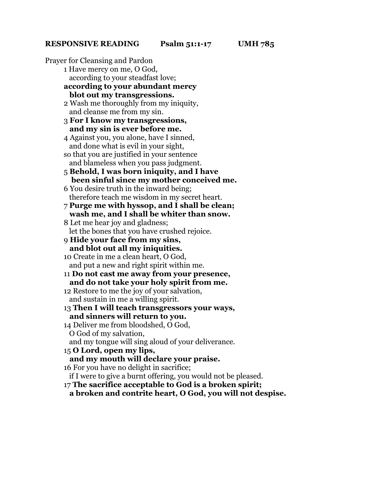Prayer for Cleansing and Pardon 1 Have mercy on me, O God, according to your steadfast love; **according to your abundant mercy blot out my transgressions.** 2 Wash me thoroughly from my iniquity, and cleanse me from my sin. 3 **For I know my transgressions, and my sin is ever before me.** 4 Against you, you alone, have I sinned, and done what is evil in your sight, so that you are justified in your sentence and blameless when you pass judgment. 5 **Behold, I was born iniquity, and I have been sinful since my mother conceived me.** 6 You desire truth in the inward being; therefore teach me wisdom in my secret heart. 7 **Purge me with hyssop, and I shall be clean; wash me, and I shall be whiter than snow.** 8 Let me hear joy and gladness; let the bones that you have crushed rejoice. 9 **Hide your face from my sins, and blot out all my iniquities.** 10 Create in me a clean heart, O God, and put a new and right spirit within me. 11 **Do not cast me away from your presence, and do not take your holy spirit from me.** 12 Restore to me the joy of your salvation, and sustain in me a willing spirit. 13 **Then I will teach transgressors your ways, and sinners will return to you.** 14 Deliver me from bloodshed, O God, O God of my salvation, and my tongue will sing aloud of your deliverance. 15 **O Lord, open my lips, and my mouth will declare your praise.** 16 For you have no delight in sacrifice; if I were to give a burnt offering, you would not be pleased.

17 **The sacrifice acceptable to God is a broken spirit;**

**a broken and contrite heart, O God, you will not despise.**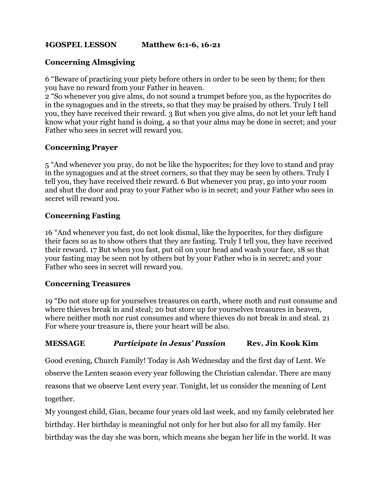# ⭻**GOSPEL LESSON Matthew 6:1-6, 16-21**

# **Concerning Almsgiving**

6 "Beware of practicing your piety before others in order to be seen by them; for then you have no reward from your Father in heaven.

2 "So whenever you give alms, do not sound a trumpet before you, as the hypocrites do in the synagogues and in the streets, so that they may be praised by others. Truly I tell you, they have received their reward. 3 But when you give alms, do not let your left hand know what your right hand is doing, 4 so that your alms may be done in secret; and your Father who sees in secret will reward you.

# **Concerning Prayer**

5 "And whenever you pray, do not be like the hypocrites; for they love to stand and pray in the synagogues and at the street corners, so that they may be seen by others. Truly I tell you, they have received their reward. 6 But whenever you pray, go into your room and shut the door and pray to your Father who is in secret; and your Father who sees in secret will reward you.

# **Concerning Fasting**

16 "And whenever you fast, do not look dismal, like the hypocrites, for they disfigure their faces so as to show others that they are fasting. Truly I tell you, they have received their reward. 17 But when you fast, put oil on your head and wash your face, 18 so that your fasting may be seen not by others but by your Father who is in secret; and your Father who sees in secret will reward you.

# **Concerning Treasures**

19 "Do not store up for yourselves treasures on earth, where moth and rust consume and where thieves break in and steal; 20 but store up for yourselves treasures in heaven, where neither moth nor rust consumes and where thieves do not break in and steal. 21 For where your treasure is, there your heart will be also.

## **MESSAGE** *Participate in Jesus' Passion* **Rev. Jin Kook Kim**

Good evening, Church Family! Today is Ash Wednesday and the first day of Lent. We observe the Lenten season every year following the Christian calendar. There are many reasons that we observe Lent every year. Tonight, let us consider the meaning of Lent together.

My youngest child, Gian, became four years old last week, and my family celebrated her birthday. Her birthday is meaningful not only for her but also for all my family. Her birthday was the day she was born, which means she began her life in the world. It was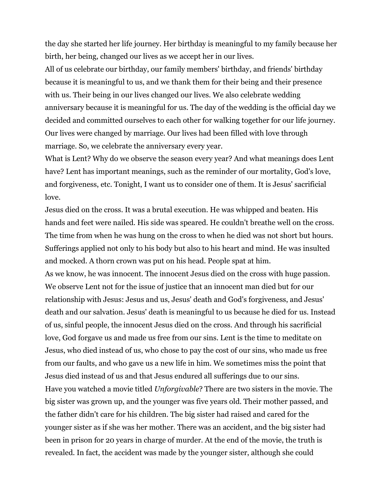the day she started her life journey. Her birthday is meaningful to my family because her birth, her being, changed our lives as we accept her in our lives.

All of us celebrate our birthday, our family members' birthday, and friends' birthday because it is meaningful to us, and we thank them for their being and their presence with us. Their being in our lives changed our lives. We also celebrate wedding anniversary because it is meaningful for us. The day of the wedding is the official day we decided and committed ourselves to each other for walking together for our life journey. Our lives were changed by marriage. Our lives had been filled with love through marriage. So, we celebrate the anniversary every year.

What is Lent? Why do we observe the season every year? And what meanings does Lent have? Lent has important meanings, such as the reminder of our mortality, God's love, and forgiveness, etc. Tonight, I want us to consider one of them. It is Jesus' sacrificial love.

Jesus died on the cross. It was a brutal execution. He was whipped and beaten. His hands and feet were nailed. His side was speared. He couldn't breathe well on the cross. The time from when he was hung on the cross to when he died was not short but hours. Sufferings applied not only to his body but also to his heart and mind. He was insulted and mocked. A thorn crown was put on his head. People spat at him.

As we know, he was innocent. The innocent Jesus died on the cross with huge passion. We observe Lent not for the issue of justice that an innocent man died but for our relationship with Jesus: Jesus and us, Jesus' death and God's forgiveness, and Jesus' death and our salvation. Jesus' death is meaningful to us because he died for us. Instead of us, sinful people, the innocent Jesus died on the cross. And through his sacrificial love, God forgave us and made us free from our sins. Lent is the time to meditate on Jesus, who died instead of us, who chose to pay the cost of our sins, who made us free from our faults, and who gave us a new life in him. We sometimes miss the point that Jesus died instead of us and that Jesus endured all sufferings due to our sins. Have you watched a movie titled *Unforgivable*? There are two sisters in the movie. The big sister was grown up, and the younger was five years old. Their mother passed, and the father didn't care for his children. The big sister had raised and cared for the younger sister as if she was her mother. There was an accident, and the big sister had been in prison for 20 years in charge of murder. At the end of the movie, the truth is revealed. In fact, the accident was made by the younger sister, although she could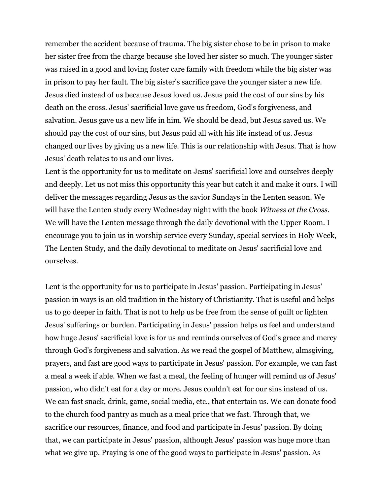remember the accident because of trauma. The big sister chose to be in prison to make her sister free from the charge because she loved her sister so much. The younger sister was raised in a good and loving foster care family with freedom while the big sister was in prison to pay her fault. The big sister's sacrifice gave the younger sister a new life. Jesus died instead of us because Jesus loved us. Jesus paid the cost of our sins by his death on the cross. Jesus' sacrificial love gave us freedom, God's forgiveness, and salvation. Jesus gave us a new life in him. We should be dead, but Jesus saved us. We should pay the cost of our sins, but Jesus paid all with his life instead of us. Jesus changed our lives by giving us a new life. This is our relationship with Jesus. That is how Jesus' death relates to us and our lives.

Lent is the opportunity for us to meditate on Jesus' sacrificial love and ourselves deeply and deeply. Let us not miss this opportunity this year but catch it and make it ours. I will deliver the messages regarding Jesus as the savior Sundays in the Lenten season. We will have the Lenten study every Wednesday night with the book *Witness at the Cross*. We will have the Lenten message through the daily devotional with the Upper Room. I encourage you to join us in worship service every Sunday, special services in Holy Week, The Lenten Study, and the daily devotional to meditate on Jesus' sacrificial love and ourselves.

Lent is the opportunity for us to participate in Jesus' passion. Participating in Jesus' passion in ways is an old tradition in the history of Christianity. That is useful and helps us to go deeper in faith. That is not to help us be free from the sense of guilt or lighten Jesus' sufferings or burden. Participating in Jesus' passion helps us feel and understand how huge Jesus' sacrificial love is for us and reminds ourselves of God's grace and mercy through God's forgiveness and salvation. As we read the gospel of Matthew, almsgiving, prayers, and fast are good ways to participate in Jesus' passion. For example, we can fast a meal a week if able. When we fast a meal, the feeling of hunger will remind us of Jesus' passion, who didn't eat for a day or more. Jesus couldn't eat for our sins instead of us. We can fast snack, drink, game, social media, etc., that entertain us. We can donate food to the church food pantry as much as a meal price that we fast. Through that, we sacrifice our resources, finance, and food and participate in Jesus' passion. By doing that, we can participate in Jesus' passion, although Jesus' passion was huge more than what we give up. Praying is one of the good ways to participate in Jesus' passion. As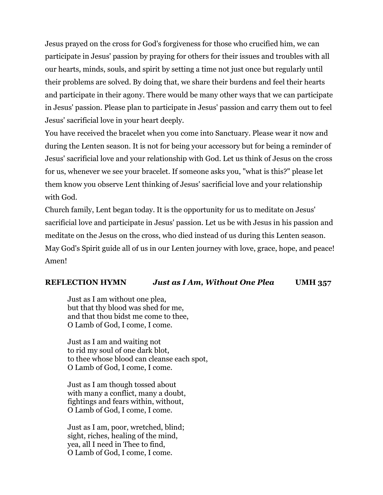Jesus prayed on the cross for God's forgiveness for those who crucified him, we can participate in Jesus' passion by praying for others for their issues and troubles with all our hearts, minds, souls, and spirit by setting a time not just once but regularly until their problems are solved. By doing that, we share their burdens and feel their hearts and participate in their agony. There would be many other ways that we can participate in Jesus' passion. Please plan to participate in Jesus' passion and carry them out to feel Jesus' sacrificial love in your heart deeply.

You have received the bracelet when you come into Sanctuary. Please wear it now and during the Lenten season. It is not for being your accessory but for being a reminder of Jesus' sacrificial love and your relationship with God. Let us think of Jesus on the cross for us, whenever we see your bracelet. If someone asks you, "what is this?" please let them know you observe Lent thinking of Jesus' sacrificial love and your relationship with God.

Church family, Lent began today. It is the opportunity for us to meditate on Jesus' sacrificial love and participate in Jesus' passion. Let us be with Jesus in his passion and meditate on the Jesus on the cross, who died instead of us during this Lenten season. May God's Spirit guide all of us in our Lenten journey with love, grace, hope, and peace! Amen!

# **REFLECTION HYMN** *Just as I Am, Without One Plea* **UMH 357**

Just as I am without one plea, but that thy blood was shed for me, and that thou bidst me come to thee, O Lamb of God, I come, I come.

Just as I am and waiting not to rid my soul of one dark blot, to thee whose blood can cleanse each spot, O Lamb of God, I come, I come.

Just as I am though tossed about with many a conflict, many a doubt, fightings and fears within, without, O Lamb of God, I come, I come.

Just as I am, poor, wretched, blind; sight, riches, healing of the mind, yea, all I need in Thee to find, O Lamb of God, I come, I come.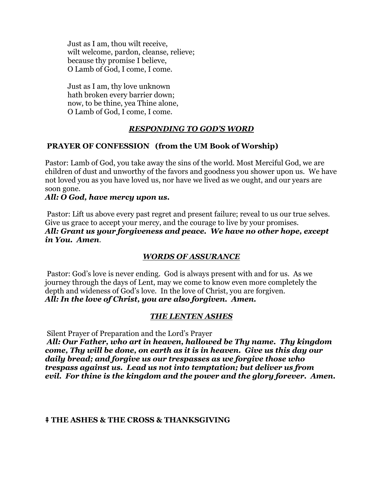Just as I am, thou wilt receive, wilt welcome, pardon, cleanse, relieve; because thy promise I believe, O Lamb of God, I come, I come.

Just as I am, thy love unknown hath broken every barrier down; now, to be thine, yea Thine alone, O Lamb of God, I come, I come.

# *RESPONDING TO GOD'S WORD*

# **PRAYER OF CONFESSION (from the UM Book of Worship)**

Pastor: Lamb of God, you take away the sins of the world. Most Merciful God, we are children of dust and unworthy of the favors and goodness you shower upon us. We have not loved you as you have loved us, nor have we lived as we ought, and our years are soon gone.

## *All: O God, have mercy upon us.*

Pastor: Lift us above every past regret and present failure; reveal to us our true selves. Give us grace to accept your mercy, and the courage to live by your promises. *All: Grant us your forgiveness and peace. We have no other hope, except in You. Amen.*

## *WORDS OF ASSURANCE*

Pastor: God's love is never ending. God is always present with and for us. As we journey through the days of Lent, may we come to know even more completely the depth and wideness of God's love. In the love of Christ, you are forgiven. *All: In the love of Christ, you are also forgiven. Amen.*

## *THE LENTEN ASHES*

Silent Prayer of Preparation and the Lord's Prayer

*All: Our Father, who art in heaven, hallowed be Thy name. Thy kingdom come, Thy will be done, on earth as it is in heaven. Give us this day our daily bread; and forgive us our trespasses as we forgive those who trespass against us. Lead us not into temptation; but deliver us from evil. For thine is the kingdom and the power and the glory forever. Amen.*

## ⭻ **THE ASHES & THE CROSS & THANKSGIVING**